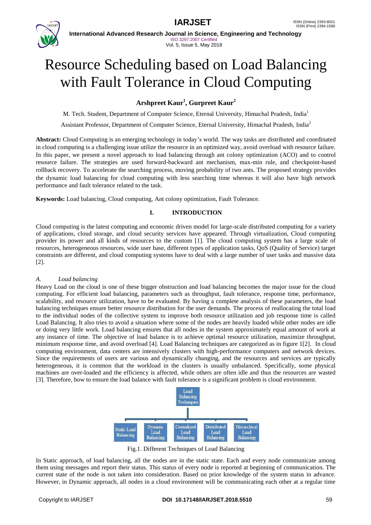

**International Advanced Research Journal in Science, Engineering and Technology** ISO 3297:2007 Certified Vol. 5, Issue 5, May 2018

# Resource Scheduling based on Load Balancing with Fault Tolerance in Cloud Computing

## **Arshpreet Kaur<sup>1</sup> , Gurpreet Kaur<sup>2</sup>**

M. Tech. Student, Department of Computer Science, Eternal University, Himachal Pradesh, India<sup>1</sup> Assistant Professor, Department of Computer Science, Eternal University, Himachal Pradesh, India<sup>2</sup>

**Abstract:** Cloud Computing is an emerging technology in today's world. The way tasks are distributed and coordinated in cloud computing is a challenging issue utilize the resource in an optimized way, avoid overload with resource failure. In this paper, we present a novel approach to load balancing through ant colony optimization (ACO) and to control resource failure. The strategies are used forward-backward ant mechanism, max-min rule, and checkpoint-based rollback recovery. To accelerate the searching process, moving probability of two ants. The proposed strategy provides the dynamic load balancing for cloud computing with less searching time whereas it will also have high network performance and fault tolerance related to the task.

**Keywords:** Load balancing, Cloud computing, Ant colony optimization, Fault Tolerance.

#### **I. INTRODUCTION**

Cloud computing is the latest computing and economic driven model for large-scale distributed computing for a variety of applications, cloud storage, and cloud security services have appeared. Through virtualization, Cloud computing provider its power and all kinds of resources to the custom [1]. The cloud computing system has a large scale of resources, heterogeneous resources, wide user base, different types of application tasks, QoS (Quality of Service) target constraints are different, and cloud computing systems have to deal with a large number of user tasks and massive data [2].

#### *A. Load balancing*

Heavy Load on the cloud is one of these bigger obstruction and load balancing becomes the major issue for the cloud computing. For efficient load balancing, parameters such as throughput, fault tolerance, response time, performance, scalability, and resource utilization, have to be evaluated. By having a complete analysis of these parameters, the load balancing techniques ensure better resource distribution for the user demands. The process of reallocating the total load to the individual nodes of the collective system to improve both resource utilization and job response time is called Load Balancing. It also tries to avoid a situation where some of the nodes are heavily loaded while other nodes are idle or doing very little work. Load balancing ensures that all nodes in the system approximately equal amount of work at any instance of time. The objective of load balance is to achieve optimal resource utilization, maximize throughput, minimum response time, and avoid overload [4]. Load Balancing techniques are categorized as in figure 1[2]. In cloud computing environment, data centers are intensively clusters with high-performance computers and network devices. Since the requirements of users are various and dynamically changing, and the resources and services are typically heterogeneous, it is common that the workload in the clusters is usually unbalanced. Specifically, some physical machines are over-loaded and the efficiency is affected, while others are often idle and thus the resources are wasted [3]. Therefore, how to ensure the load balance with fault tolerance is a significant problem is cloud environment.



Fig.1. Different Techniques of Load Balancing

In Static approach, of load balancing, all the nodes are in the static state. Each and every node communicate among them using messages and report their status. This status of every node is reported at beginning of communication. The current state of the node is not taken into consideration. Based on prior knowledge of the system status in advance. However, in Dynamic approach, all nodes in a cloud environment will be communicating each other at a regular time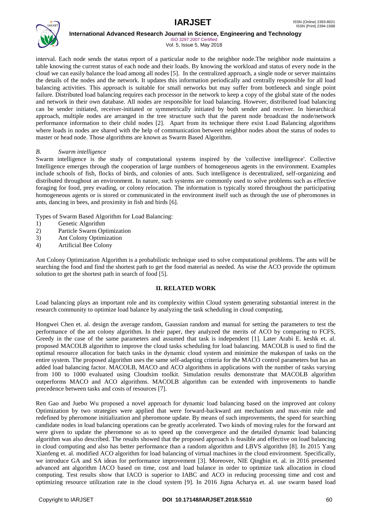

ISO 3297:2007 Certified Vol. 5, Issue 5, May 2018

interval. Each node sends the status report of a particular node to the neighbor node.The neighbor node maintains a table knowing the current status of each node and their loads. By knowing the workload and status of every node in the cloud we can easily balance the load among all nodes [5]. In the centralized approach, a single node or server maintains the details of the nodes and the network. It updates this information periodically and centrally responsible for all load balancing activities. This approach is suitable for small networks but may suffer from bottleneck and single point failure. Distributed load balancing requires each processor in the network to keep a copy of the global state of the nodes and network in their own database. All nodes are responsible for load balancing. However, distributed load balancing can be sender initiated, receiver-initiated or symmetrically initiated by both sender and receiver. In hierarchical approach, multiple nodes are arranged in the tree structure such that the parent node broadcast the node/network performance information to their child nodes [2]. Apart from its technique there exist Load Balancing algorithms where loads in nodes are shared with the help of communication between neighbor nodes about the status of nodes to master or head node. Those algorithms are known as Swarm Based Algorithm.

#### *B. Swarm intelligence*

Swarm intelligence is the study of computational systems inspired by the 'collective intelligence'. Collective Intelligence emerges through the cooperation of large numbers of homogeneous agents in the environment. Examples include schools of fish, flocks of birds, and colonies of ants. Such intelligence is decentralized, self-organizing and distributed throughout an environment. In nature, such systems are commonly used to solve problems such as effective foraging for food, prey evading, or colony relocation. The information is typically stored throughout the participating homogeneous agents or is stored or communicated in the environment itself such as through the use of pheromones in ants, dancing in bees, and proximity in fish and birds [6].

Types of Swarm Based Algorithm for Load Balancing:

- 1) Genetic Algorithm
- 2) Particle Swarm Optimization
- 3) Ant Colony Optimization
- 4) Artificial Bee Colony

Ant Colony Optimization Algorithm is a probabilistic technique used to solve computational problems. The ants will be searching the food and find the shortest path to get the food material as needed. As wise the ACO provide the optimum solution to get the shortest path in search of food [5].

#### **II. RELATED WORK**

Load balancing plays an important role and its complexity within Cloud system generating substantial interest in the research community to optimize load balance by analyzing the task scheduling in cloud computing.

Hongwei Chen et. al. design the average random, Gaussian random and manual for setting the parameters to test the performance of the ant colony algorithm. In their paper, they analyzed the merits of ACO by comparing to FCFS, Greedy in the case of the same parameters and assumed that task is independent [1]. Later Arabi E. keshk et. al. proposed MACOLB algorithm to improve the cloud tasks scheduling for load balancing. MACOLB is used to find the optimal resource allocation for batch tasks in the dynamic cloud system and minimize the makespan of tasks on the entire system. The proposed algorithm uses the same self-adapting criteria for the MACO control parameters but has an added load balancing factor. MACOLB, MACO and ACO algorithms in applications with the number of tasks varying from 100 to 1000 evaluated using Cloudsim toolkit. Simulation results demonstrate that MACOLB algorithm outperforms MACO and ACO algorithms. MACOLB algorithm can be extended with improvements to handle precedence between tasks and costs of resources [7].

Ren Gao and Juebo Wu proposed a novel approach for dynamic load balancing based on the improved ant colony Optimization by two strategies were applied that were forward-backward ant mechanism and max-min rule and redefined by pheromone initialization and pheromone update. By means of such improvements, the speed for searching candidate nodes in load balancing operations can be greatly accelerated. Two kinds of moving rules for the forward ant were given to update the pheromone so as to speed up the convergence and the detailed dynamic load balancing algorithm was also described. The results showed that the proposed approach is feasible and effective on load balancing in cloud computing and also has better performance than a random algorithm and LBVS algorithm [8]. In 2015 Yang Xianfeng et. al. modified ACO algorithm for load balancing of virtual machines in the cloud environment. Specifically, we introduce GA and SA ideas for performance improvement [3]. Moreover, NIE Qingbin et. al. in 2016 presented advanced ant algorithm IACO based on time, cost and load balance in order to optimize task allocation in cloud computing. Test results show that IACO is superior to IABC and ACO in reducing processing time and cost and optimizing resource utilization rate in the cloud system [9]. In 2016 Jigna Acharya et. al. use swarm based load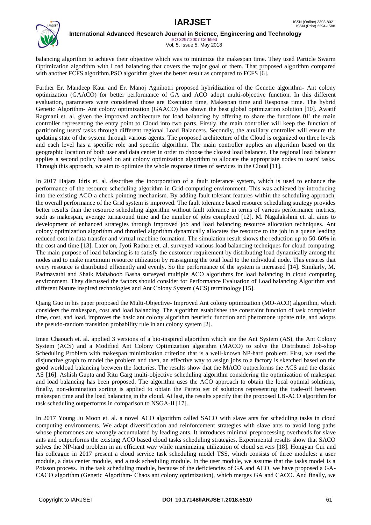

ISO 3297:2007 Certified Vol. 5, Issue 5, May 2018

balancing algorithm to achieve their objective which was to minimize the makespan time. They used Particle Swarm Optimization algorithm with Load balancing that covers the major goal of them. That proposed algorithm compared with another FCFS algorithm.PSO algorithm gives the better result as compared to FCFS [6].

Further Er. Mandeep Kaur and Er. Manoj Agnihotri proposed hybridization of the Genetic algorithm- Ant colony optimization (GAACO) for better performance of GA and ACO adopt multi-objective function. In this different evaluation, parameters were considered those are Execution time, Makespan time and Response time. The hybrid Genetic Algorithm- Ant colony optimization (GAACO) has shown the best global optimization solution [10]. Awatif Ragmani et. al. given the improved architecture for load balancing by offering to share the functions 01' the main controller representing the entry point to Cloud into two parts. Firstly, the main controller will keep the function of partitioning users' tasks through different regional Load Balancers. Secondly, the auxiliary controller will ensure the updating state of the system through various agents. The proposed architecture of the Cloud is organized on three levels and each level has a specific role and specific algorithm. The main controller applies an algorithm based on the geographic location of both user and data center in order to choose the closest load balancer. The regional load balancer applies a second policy based on ant colony optimization algorithm to allocate the appropriate nodes to users' tasks. Through this approach, we aim to optimize the whole response times of services in the Cloud [11].

In 2017 Hajara Idris et. al. describes the incorporation of a fault tolerance system, which is used to enhance the performance of the resource scheduling algorithm in Grid computing environment. This was achieved by introducing into the existing ACO a check pointing mechanism. By adding fault tolerant features within the scheduling approach, the overall performance of the Grid system is improved. The fault tolerance based resource scheduling strategy provides better results than the resource scheduling algorithm without fault tolerance in terms of various performance metrics, such as makespan, average turnaround time and the number of jobs completed [12]. M. Nagalakshmi et. al**.** aims to development of enhanced strategies through improved job and load balancing resource allocation techniques. Ant colony optimization algorithm and throttled algorithm dynamically allocates the resource to the job in a queue leading reduced cost in data transfer and virtual machine formation. The simulation result shows the reduction up to 50-60% in the cost and time [13]. Later on, Jyoti Rathore et. al. surveyed various load balancing techniques for cloud computing. The main purpose of load balancing is to satisfy the customer requirement by distributing load dynamically among the nodes and to make maximum resource utilization by reassigning the total load to the individual node. This ensures that every resource is distributed efficiently and evenly. So the performance of the system is increased [14]. Similarly, M. Padmavathi and Shaik Mahaboob Basha surveyed multiple ACO algorithms for load balancing in cloud computing environment. They discussed the factors should consider for Performance Evaluation of Load balancing Algorithm and different Nature inspired technologies and Ant Colony System (ACS) terminology [15].

Qiang Guo in his paper proposed the Multi-Objective- Improved Ant colony optimization (MO-ACO) algorithm, which considers the makespan, cost and load balancing. The algorithm establishes the constraint function of task completion time, cost, and load, improves the basic ant colony algorithm heuristic function and pheromone update rule, and adopts the pseudo-random transition probability rule in ant colony system [2].

Imen Chaouch et. al. applied 3 versions of a bio-inspired algorithm which are the Ant System (AS), the Ant Colony System (ACS) and a Modified Ant Colony Optimization algorithm (MACO) to solve the Distributed Job-shop Scheduling Problem with makespan minimization criterion that is a well-known NP-hard problem. First, we used the disjunctive graph to model the problem and then, an effective way to assign jobs to a factory is sketched based on the good workload balancing between the factories. The results show that the MACO outperforms the ACS and the classic AS [16]. Ashish Gupta and Ritu Garg multi-objective scheduling algorithm considering the optimization of makespan and load balancing has been proposed. The algorithm uses the ACO approach to obtain the local optimal solutions, finally, non-domination sorting is applied to obtain the Pareto set of solutions representing the trade-off between makespan time and the load balancing in the cloud. At last, the results specify that the proposed LB-ACO algorithm for task scheduling outperforms in comparison to NSGA-II [17].

In 2017 Young Ju Moon et. al. a novel ACO algorithm called SACO with slave ants for scheduling tasks in cloud computing environments. We adapt diversification and reinforcement strategies with slave ants to avoid long paths whose pheromones are wrongly accumulated by leading ants. It introduces minimal preprocessing overheads for slave ants and outperforms the existing ACO based cloud tasks scheduling strategies. Experimental results show that SACO solves the NP-hard problem in an efficient way while maximizing utilization of cloud servers [18]. Hongyan Cui and his colleague in 2017 present a cloud service task scheduling model TSS, which consists of three modules: a user module, a data center module, and a task scheduling module. In the user module, we assume that the tasks model is a Poisson process. In the task scheduling module, because of the deficiencies of GA and ACO, we have proposed a GA-CACO algorithm (Genetic Algorithm- Chaos ant colony optimization), which merges GA and CACO. And finally, we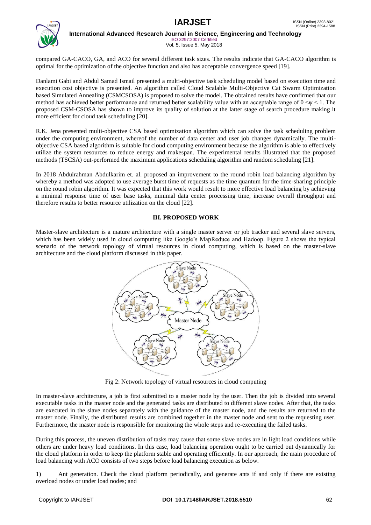

ISO 3297:2007 Certified Vol. 5, Issue 5, May 2018

compared GA-CACO, GA, and ACO for several different task sizes. The results indicate that GA-CACO algorithm is optimal for the optimization of the objective function and also has acceptable convergence speed [19].

Danlami Gabi and Abdul Samad Ismail presented a multi-objective task scheduling model based on execution time and execution cost objective is presented. An algorithm called Cloud Scalable Multi-Objective Cat Swarm Optimization based Simulated Annealing (CSMCSOSA) is proposed to solve the model. The obtained results have confirmed that our method has achieved better performance and returned better scalability value with an acceptable range of  $0 \le y \le 1$ . The proposed CSM-CSOSA has shown to improve its quality of solution at the latter stage of search procedure making it more efficient for cloud task scheduling [20].

R.K. Jena presented multi-objective CSA based optimization algorithm which can solve the task scheduling problem under the computing environment, whereof the number of data center and user job changes dynamically. The multiobjective CSA based algorithm is suitable for cloud computing environment because the algorithm is able to effectively utilize the system resources to reduce energy and makespan. The experimental results illustrated that the proposed methods (TSCSA) out-performed the maximum applications scheduling algorithm and random scheduling [21].

In 2018 Abdulrahman Abdulkarim et. al. proposed an improvement to the round robin load balancing algorithm by whereby a method was adopted to use average burst time of requests as the time quantum for the time-sharing principle on the round robin algorithm. It was expected that this work would result to more effective load balancing by achieving a minimal response time of user base tasks, minimal data center processing time, increase overall throughput and therefore results to better resource utilization on the cloud [22].

### **III. PROPOSED WORK**

Master-slave architecture is a mature architecture with a single master server or job tracker and several slave servers, which has been widely used in cloud computing like Google's MapReduce and Hadoop. Figure 2 shows the typical scenario of the network topology of virtual resources in cloud computing, which is based on the master-slave architecture and the cloud platform discussed in this paper.



Fig 2: Network topology of virtual resources in cloud computing

In master-slave architecture, a job is first submitted to a master node by the user. Then the job is divided into several executable tasks in the master node and the generated tasks are distributed to different slave nodes. After that, the tasks are executed in the slave nodes separately with the guidance of the master node, and the results are returned to the master node. Finally, the distributed results are combined together in the master node and sent to the requesting user. Furthermore, the master node is responsible for monitoring the whole steps and re-executing the failed tasks.

During this process, the uneven distribution of tasks may cause that some slave nodes are in light load conditions while others are under heavy load conditions. In this case, load balancing operation ought to be carried out dynamically for the cloud platform in order to keep the platform stable and operating efficiently. In our approach, the main procedure of load balancing with ACO consists of two steps before load balancing execution as below.

1) Ant generation. Check the cloud platform periodically, and generate ants if and only if there are existing overload nodes or under load nodes; and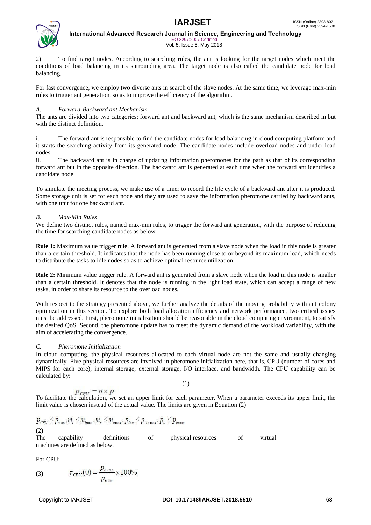

**International Advanced Research Journal in Science, Engineering and Technology** ISO 3297:2007 Certified

Vol. 5, Issue 5, May 2018

2) To find target nodes. According to searching rules, the ant is looking for the target nodes which meet the conditions of load balancing in its surrounding area. The target node is also called the candidate node for load balancing.

For fast convergence, we employ two diverse ants in search of the slave nodes. At the same time, we leverage max-min rules to trigger ant generation, so as to improve the efficiency of the algorithm.

#### *A. Forward-Backward ant Mechanism*

The ants are divided into two categories: forward ant and backward ant, which is the same mechanism described in but with the distinct definition.

i. The forward ant is responsible to find the candidate nodes for load balancing in cloud computing platform and it starts the searching activity from its generated node. The candidate nodes include overload nodes and under load nodes.

ii. The backward ant is in charge of updating information pheromones for the path as that of its corresponding forward ant but in the opposite direction. The backward ant is generated at each time when the forward ant identifies a candidate node.

To simulate the meeting process, we make use of a timer to record the life cycle of a backward ant after it is produced. Some storage unit is set for each node and they are used to save the information pheromone carried by backward ants, with one unit for one backward ant.

#### *B. Max-Min Rules*

We define two distinct rules, named max-min rules, to trigger the forward ant generation, with the purpose of reducing the time for searching candidate nodes as below.

**Rule 1:** Maximum value trigger rule. A forward ant is generated from a slave node when the load in this node is greater than a certain threshold. It indicates that the node has been running close to or beyond its maximum load, which needs to distribute the tasks to idle nodes so as to achieve optimal resource utilization.

**Rule 2:** Minimum value trigger rule. A forward ant is generated from a slave node when the load in this node is smaller than a certain threshold. It denotes that the node is running in the light load state, which can accept a range of new tasks, in order to share its resource to the overload nodes.

With respect to the strategy presented above, we further analyze the details of the moving probability with ant colony optimization in this section. To explore both load allocation efficiency and network performance, two critical issues must be addressed. First, pheromone initialization should be reasonable in the cloud computing environment, to satisfy the desired QoS. Second, the pheromone update has to meet the dynamic demand of the workload variability, with the aim of accelerating the convergence.

### *C. Pheromone Initialization*

In cloud computing, the physical resources allocated to each virtual node are not the same and usually changing dynamically. Five physical resources are involved in pheromone initialization here, that is, CPU (number of cores and MIPS for each core), internal storage, external storage, I/O interface, and bandwidth. The CPU capability can be calculated by:

$$
= n \times p
$$

To facilitate the calculation, we set an upper limit for each parameter. When a parameter exceeds its upper limit, the limit value is chosen instead of the actual value. The limits are given in Equation (2)

(1)

$$
p_{\text{CPU}} \le p_{\text{max}}, m_i \le m_{i_{\text{max}}}, m_e \le m_{\text{max}}, p_{i/o} \le p_{i/o \text{max}}, p_b \le p_{b_{\text{max}}}
$$
\n(2)\n\nThe capability definitions of physical resources of virtual machines are defined as below.

For CPU:

(3) 
$$
\tau_{CPU}(0) = \frac{p_{CPU}}{p_{max}} \times 100\%
$$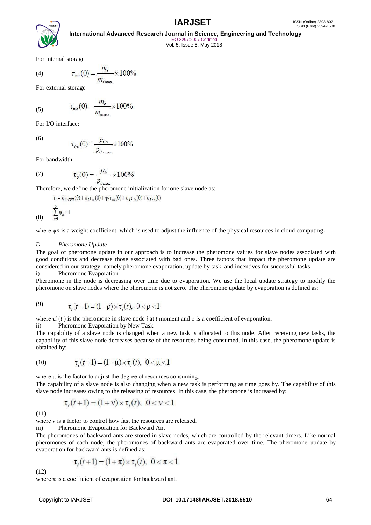

# **International Advanced Research Journal in Science, Engineering and Technology** ISO 3297:2007 Certified

Vol. 5, Issue 5, May 2018

For internal storage

(4) 
$$
\tau_{mi}(0) = \frac{m_i}{m_{i_{\text{max}}}} \times 100\%
$$

For external storage

 $\tau_{me}(0) = \frac{m_e}{m_{emxx}} \times 100\%$ (5)

For I/O interface:

(6)

(8)

For bandwidth:

(7) 
$$
\tau_b(0) = \frac{p_b}{p_{\text{bmax}}} \times 100\%
$$

Therefore, we define the pheromone initialization for one slave node as:

$$
\tau_i = \psi_1 \tau_{CPU}(0) + \psi_2 \tau_{mi}(0) + \psi_3 \tau_{me}(0) + \psi_4 \tau_{i/o}(0) + \psi_5 \tau_b(0)
$$
  

$$
\sum_{n=1}^{5} \psi_n = 1
$$

 $\tau_{i/o}(0) = \frac{p_{i/o}}{p_{i/o max}} \times 100\%$ 

where ψ*n* is a weight coefficient, which is used to adjust the influence of the physical resources in cloud computing**.**

#### *D. Pheromone Update*

The goal of pheromone update in our approach is to increase the pheromone values for slave nodes associated with good conditions and decrease those associated with bad ones. Three factors that impact the pheromone update are considered in our strategy, namely pheromone evaporation, update by task, and incentives for successful tasks i) Pheromone Evaporation

Pheromone in the node is decreasing over time due to evaporation. We use the local update strategy to modify the pheromone on slave nodes where the pheromone is not zero. The pheromone update by evaporation is defined as:

(9) 
$$
\tau_i(t+1) = (1-\rho) \times \tau_i(t), \ \ 0 < \rho < 1
$$

where τ*i* (*t* ) is the pheromone in slave node *i* at *t* moment and ρ is a coefficient of evaporation.

ii) Pheromone Evaporation by New Task

The capability of a slave node is changed when a new task is allocated to this node. After receiving new tasks, the capability of this slave node decreases because of the resources being consumed. In this case, the pheromone update is obtained by:

(10) 
$$
\tau_i(t+1) = (1-\mu) \times \tau_i(t), \ \ 0 < \mu < 1
$$

where μ is the factor to adjust the degree of resources consuming.

The capability of a slave node is also changing when a new task is performing as time goes by. The capability of this slave node increases owing to the releasing of resources. In this case, the pheromone is increased by:

$$
\tau_i(t+1) = (1+\nu) \times \tau_i(t), \ \ 0 < \nu < 1
$$

(11)

where y is a factor to control how fast the resources are released.

iii) Pheromone Evaporation for Backward Ant

The pheromones of backward ants are stored in slave nodes, which are controlled by the relevant timers. Like normal pheromones of each node, the pheromones of backward ants are evaporated over time. The pheromone update by evaporation for backward ants is defined as:

$$
\tau_i(t+1) = (1+\pi) \times \tau_i(t), \ 0 < \pi < 1
$$

(12)

where  $\pi$  is a coefficient of evaporation for backward ant.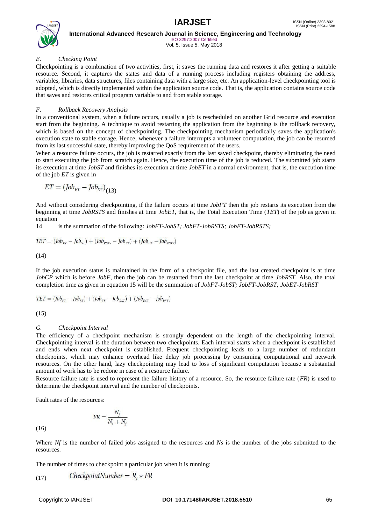

ISO 3297:2007 Certified Vol. 5, Issue 5, May 2018

### *E. Checking Point*

Checkpointing is a combination of two activities, first, it saves the running data and restores it after getting a suitable resource. Second, it captures the states and data of a running process including registers obtaining the address, variables, libraries, data structures, files containing data with a large size, etc. An application-level checkpointing tool is adopted, which is directly implemented within the application source code. That is, the application contains source code that saves and restores critical program variable to and from stable storage.

#### *F. Rollback Recovery Analysis*

In a conventional system, when a failure occurs, usually a job is rescheduled on another Grid resource and execution start from the beginning. A technique to avoid restarting the application from the beginning is the rollback recovery, which is based on the concept of checkpointing. The checkpointing mechanism periodically saves the application's execution state to stable storage. Hence, whenever a failure interrupts a volunteer computation, the job can be resumed from its last successful state, thereby improving the QoS requirement of the users.

When a resource failure occurs, the job is restarted exactly from the last saved checkpoint, thereby eliminating the need to start executing the job from scratch again. Hence, the execution time of the job is reduced. The submitted job starts its execution at time *JobST* and finishes its execution at time *JobET* in a normal environment, that is, the execution time of the job *ET* is given in

$$
ET = (Job_{ET} - Job_{ST})_{(13)}
$$

And without considering checkpointing, if the failure occurs at time *JobFT* then the job restarts its execution from the beginning at time *JobRSTS* and finishes at time *JobET*, that is, the Total Execution Time (*TET*) of the job as given in equation

14 is the summation of the following: *JobFT*-*JobST; JobFT*-*JobRSTS; JobET-JobRSTS;*

$$
TET = (Job_{FT} - Job_{ST}) + (Job_{RSTS} - Job_{FT}) + (Job_{ET} - Job_{RSTS})
$$

(14)

If the job execution status is maintained in the form of a checkpoint file, and the last created checkpoint is at time *JobCP* which is before *JobF*, then the job can be restarted from the last checkpoint at time *JobRST*. Also, the total completion time as given in equation 15 will be the summation of *JobFT*-*JobST; JobFT*-*JobRST; JobET-JobRST*

$$
TET = (Job_{FT} - Job_{ST}) + (Job_{FT} - Job_{RST}) + (Job_{ECT} - Job_{RST})
$$

(15)

### *G. Checkpoint Interval*

The efficiency of a checkpoint mechanism is strongly dependent on the length of the checkpointing interval. Checkpointing interval is the duration between two checkpoints. Each interval starts when a checkpoint is established and ends when next checkpoint is established. Frequent checkpointing leads to a large number of redundant checkpoints, which may enhance overhead like delay job processing by consuming computational and network resources. On the other hand, lazy checkpointing may lead to loss of significant computation because a substantial amount of work has to be redone in case of a resource failure.

Resource failure rate is used to represent the failure history of a resource. So, the resource failure rate (*FR*) is used to determine the checkpoint interval and the number of checkpoints.

Fault rates of the resources:

$$
FR = \frac{N_f}{N_s + N_f}
$$

(16)

Where *Nf* is the number of failed jobs assigned to the resources and *Ns* is the number of the jobs submitted to the resources.

The number of times to checkpoint a particular job when it is running:

$$
(17) \tCheckpointNumber = Rt * FR
$$